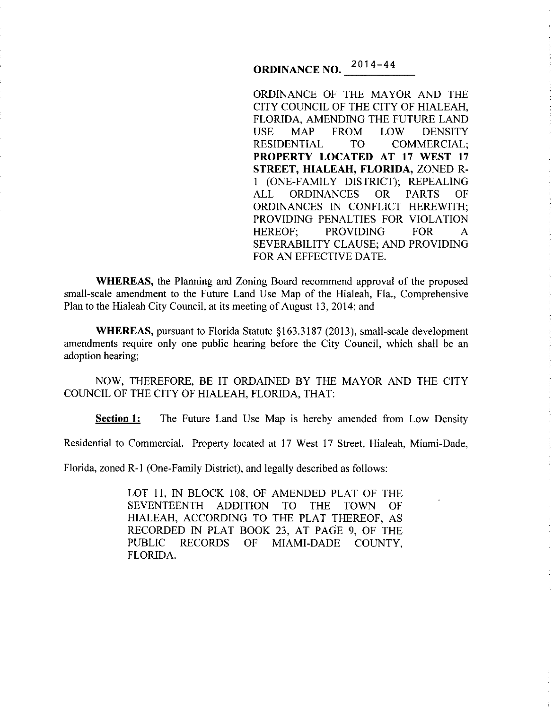# **ORDINANCE NO.**  $2014 - 44$

ORDINANCE OF THE MAYOR AND THE CITY COUNCIL OF THE CITY OF HIALEAH, FLORIDA, AMENDING THE FUTURE LAND USE MAP FROM LOW DENSITY<br>RESIDENTIAL TO COMMERCIAL; TO COMMERCIAL; **PROPERTY LOCATED AT 17 WEST 17 STREET, HIALEAH, FLORIDA,** ZONED R-1 (ONE-FAMILY DISTRICT); REPEALING ALL ORDINANCES OR PARTS OF ORDINANCES IN CONFLICT HEREWITH; PROVIDING PENALTIES FOR VIOLATION HEREOF; PROVIDING FOR A SEVERABILITY CLAUSE; AND PROVIDING FOR AN EFFECTIVE DATE.

**WHEREAS,** the Planning and Zoning Board recommend approval of the proposed small-scale amendment to the Future Land Use Map of the Hialeah, Fla., Comprehensive Plan to the Hialeah City Council, at its meeting of August 13, 2014; and

**WHEREAS,** pursuant to Florida Statute § 163.3187 (2013), small-scale development amendments require only one public hearing before the City Council, which shall be an adoption hearing;

NOW, THEREFORE, BE IT ORDAINED BY THE MAYOR AND THE CITY COUNCIL OF THE CITY OF HIALEAH, FLORIDA, THAT:

**Section 1:** The Future Land Use Map is hereby amended from Low Density

Residential to Commercial. Property located at 17 West 17 Street, Hialeah, Miami-Dade,

Florida, zoned R-1 (One-Family District), and legally described as follows:

LOT II, IN BLOCK 108, OF AMENDED PLAT OF THE SEVENTEENTH ADDITION TO THE TOWN OF HIALEAH, ACCORDING TO THE PLAT THEREOF, AS RECORDED IN PLAT BOOK 23, AT PAGE 9, OF THE PUBLIC RECORDS OF MIAMI-DADE COUNTY, FLORIDA.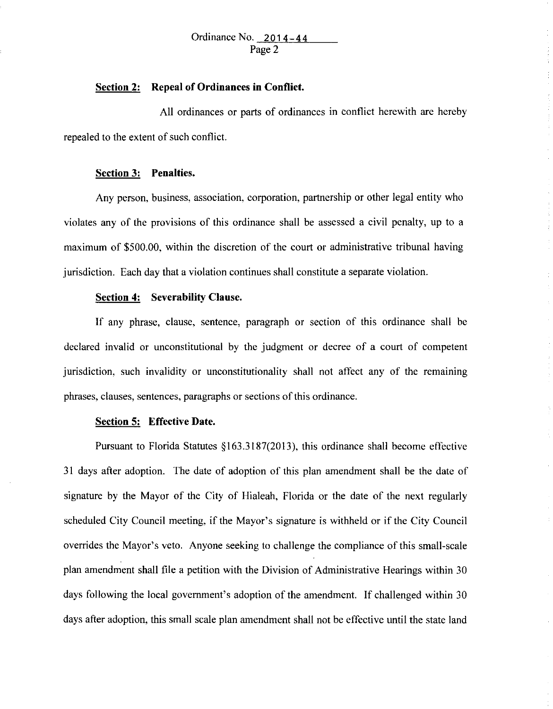# Ordinance No.  $2014-44$ Page 2

## **Section 2: Repeal of Ordinances in Conflict.**

All ordinances or parts of ordinances in conflict herewith are hereby repealed to the extent of such conflict.

#### **Section 3: Penalties.**

Any person, business, association, corporation, partnership or other legal entity who violates any of the provisions of this ordinance shall be assessed a civil penalty, up to a maximum of \$500.00, within the discretion of the court or administrative tribunal having jurisdiction. Each day that a violation continues shall constitute a separate violation.

#### **Section 4: Severability Clause.**

If any phrase, clause, sentence, paragraph or section of this ordinance shall be declared invalid or unconstitutional by the judgment or decree of a court of competent jurisdiction, such invalidity or unconstitutionality shall not affect any of the remaining phrases, clauses, sentences, paragraphs or sections of this ordinance.

### **Section 5: Effective Date.**

Pursuant to Florida Statutes §163.3187(2013), this ordinance shall become effective 31 days after adoption. The date of adoption of this plan amendment shall be the date of signature by the Mayor of the City of Hialeah, Florida or the date of the next regularly scheduled City Council meeting, if the Mayor's signature is withheld or if the City Council overrides the Mayor's veto. Anyone seeking to challenge the compliance of this small-scale plan amendment shall file a petition with the Division of Administrative Hearings within 30 days following the local government's adoption of the amendment. If challenged within 30 days after adoption, this small scale plan amendment shall not be effective until the state land